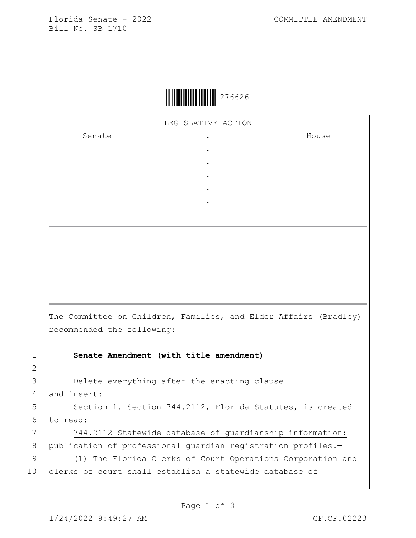Florida Senate - 2022 COMMITTEE AMENDMENT Bill No. SB 1710

LEGISLATIVE ACTION

. . . . .

Senate .

House

|             | The Committee on Children, Families, and Elder Affairs (Bradley)<br>recommended the following: |
|-------------|------------------------------------------------------------------------------------------------|
| $\mathbf 1$ | Senate Amendment (with title amendment)                                                        |
| 2           |                                                                                                |
| 3           | Delete everything after the enacting clause                                                    |
| 4           | and insert:                                                                                    |
| 5           | Section 1. Section 744.2112, Florida Statutes, is created                                      |
| 6           | to read:                                                                                       |
| 7           | 744.2112 Statewide database of quardianship information;                                       |
| 8           | publication of professional quardian registration profiles.-                                   |
| 9           | (1) The Florida Clerks of Court Operations Corporation and                                     |
| 10          | clerks of court shall establish a statewide database of                                        |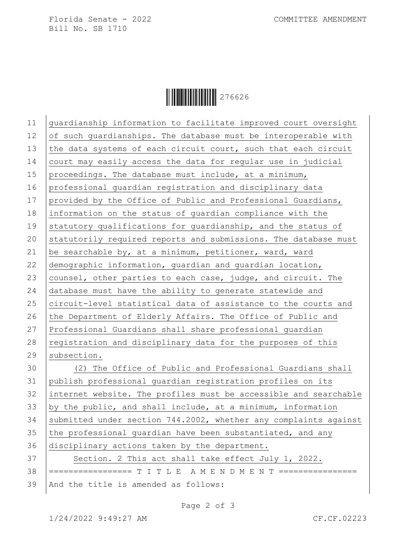Florida Senate - 2022 COMMITTEE AMENDMENT Bill No. SB 1710

Ì276626=Î276626

11 guardianship information to facilitate improved court oversight 12 of such guardianships. The database must be interoperable with 13 the data systems of each circuit court, such that each circuit 14 court may easily access the data for regular use in judicial 15 proceedings. The database must include, at a minimum, 16 professional guardian registration and disciplinary data 17  $|$  provided by the Office of Public and Professional Guardians, 18 information on the status of guardian compliance with the 19 statutory qualifications for quardianship, and the status of 20 statutorily required reports and submissions. The database must 21  $\vert$  be searchable by, at a minimum, petitioner, ward, ward 22 demographic information, guardian and guardian location, 23 counsel, other parties to each case, judge, and circuit. The 24 database must have the ability to generate statewide and 25 circuit-level statistical data of assistance to the courts and 26 the Department of Elderly Affairs. The Office of Public and 27 Professional Guardians shall share professional guardian 28 registration and disciplinary data for the purposes of this 29 subsection. 30 (2) The Office of Public and Professional Guardians shall 31 publish professional guardian registration profiles on its 32 internet website. The profiles must be accessible and searchable 33 by the public, and shall include, at a minimum, information 34 submitted under section 744.2002, whether any complaints against 35 the professional quardian have been substantiated, and any 36 disciplinary actions taken by the department. 37 Section. 2 This act shall take effect July 1, 2022. 38 ================== T I T L E \_A M E N D M E N T ================ 39 | And the title is amended as follows:

Page 2 of 3